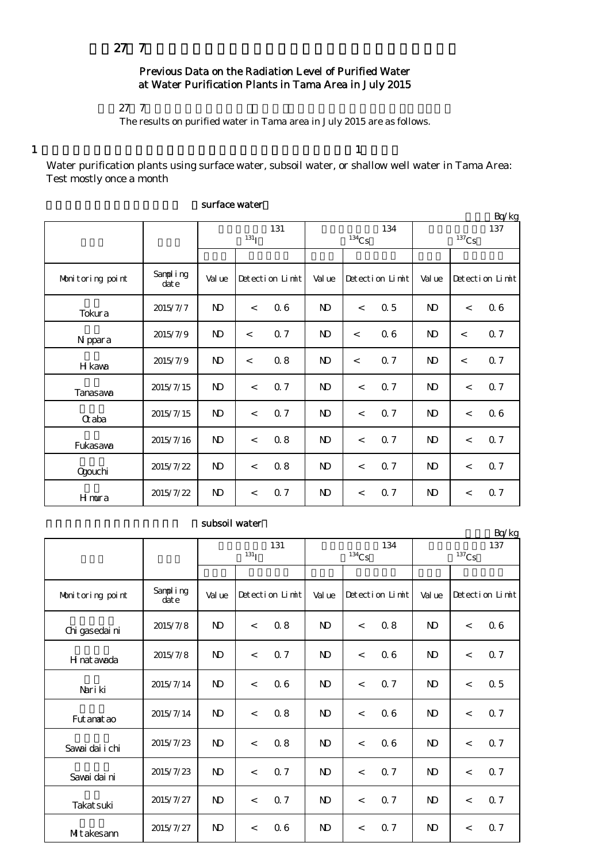## $27$  7

## Previous Data on the Radiation Level of Purified Water at Water Purification Plants in Tama Area in July 2015

### $27$  7

The results on purified water in Tama area in July 2015 are as follows.

 $1$  and  $1$ 

Water purification plants using surface water, subsoil water, or shallow well water in Tama Area: Test mostly once a month

|                  | Bq/kg            |                   |         |                 |                |                          |                 |                 |         |                 |  |
|------------------|------------------|-------------------|---------|-----------------|----------------|--------------------------|-----------------|-----------------|---------|-----------------|--|
|                  |                  | 131<br>$^{131}$ I |         |                 |                | $^{134}\mathrm{Cs}$      | 134             | 137<br>$137$ Cs |         |                 |  |
|                  |                  |                   |         |                 |                |                          |                 |                 |         |                 |  |
| Monitoring point | Sampling<br>date | Val ue            |         | Detection Limit | Val ue         |                          | Detection Limit | Value           |         | Detection Limit |  |
| Tokura           | 2015/7/7         | $\mathbf{N}$      | $\lt$   | 06              | N <sub>D</sub> | $\lt$                    | 0.5             | N <sub>D</sub>  | $\lt$   | 06              |  |
| N ppara          | 2015/7/9         | $\mathbf{N}$      | $\,<$   | 0.7             | $\mathbf{N}$   | $\prec$                  | 0.6             | $\mathbf{D}$    | $\prec$ | 0.7             |  |
| H kawa           | 2015/7/9         | $\mathbf{N}$      | $\lt$   | 0.8             | $\mathbf{N}$   | $\overline{\phantom{a}}$ | 0.7             | ND              | $\prec$ | 0.7             |  |
| Tanasawa         | 2015/7/15        | $\mathbf{D}$      | $\,<$   | 0.7             | N)             | $\overline{\phantom{a}}$ | 0.7             | $\mathbf{D}$    | $\lt$   | 0.7             |  |
| <b>G</b> aba     | 2015/7/15        | $\mathbf{N}$      | $\lt$   | 0.7             | N)             | $\overline{\phantom{a}}$ | 0.7             | N <sub>D</sub>  | $\lt$   | 06              |  |
| Fukasawa         | 2015/7/16        | $\mathbf{N}$      | $\lt$   | 0.8             | N)             | $\,<$                    | 0.7             | $\mathbf{N}$    | $\lt$   | 0.7             |  |
| <b>Ogouchi</b>   | 2015/7/22        | $\mathbf{N}$      | $\lt$   | 0.8             | $\mathbf{D}$   | $\lt$                    | 0.7             | N <sub>D</sub>  | $\lt$   | 0.7             |  |
| <b>H</b> mura    | 2015/7/22        | $\mathbf{D}$      | $\,<\,$ | 0.7             | $\mathbf{D}$   | $\,<$                    | 0.7             | N <sub>D</sub>  | $\,<$   | 0.7             |  |

#### surface water

| subsoil water |
|---------------|
|               |

|                  |                  | 131<br>131 <sub>l</sub> |       |                 |                | $^{134}\mathrm{Cs}$ | 134             | Bq/kg<br>137<br>$^{137}\mathrm{Cs}$ |         |                 |  |
|------------------|------------------|-------------------------|-------|-----------------|----------------|---------------------|-----------------|-------------------------------------|---------|-----------------|--|
|                  |                  |                         |       |                 |                |                     |                 |                                     |         |                 |  |
| Monitoring point | Sampling<br>date | Val ue                  |       | Detection Limit | Value          |                     | Detection Limit | Value                               |         | Detection Limit |  |
| Chi gasedai ni   | 2015/7/8         | N <sub>D</sub>          | $\lt$ | 0.8             | N <sub>D</sub> | $\,<\,$             | 0.8             | N <sub>D</sub>                      | $\,<$   | 06              |  |
| H nat awada      | 2015/7/8         | $\mathbf{N}$            | $\lt$ | 0.7             | N)             | $\lt$               | 06              | $\mathbf{N}$                        | $\prec$ | Q 7             |  |
| Nari ki          | 2015/7/14        | $\mathbf{D}$            | $\lt$ | 06              | N)             | $\,<$               | 0.7             | N <sub>D</sub>                      | $\prec$ | 0.5             |  |
| Fut anat ao      | 2015/7/14        | ND                      | $\lt$ | 0.8             | N)             | $\lt$               | 06              | N)                                  | $\prec$ | 0.7             |  |
| Savai dai i chi  | 2015/7/23        | $\mathbf{N}$            | $\lt$ | 0.8             | N)             | $\,<$               | 06              | N)                                  | $\prec$ | Q 7             |  |
| Savai dai ni     | 2015/7/23        | $\mathbf{D}$            | $\,<$ | Q 7             | $\mathbf{N}$   | $\,<$               | 0.7             | $\mathbf{N}$                        | $\,<$   | 0.7             |  |
| Takat suki       | 2015/7/27        | $\mathbf{N}$            | $\lt$ | 0.7             | N)             | $\,<\,$             | 0.7             | N)                                  | $\lt$   | Q 7             |  |
| Mitakesann       | 2015/7/27        | $\mathbf{D}$            | $\lt$ | 06              | N)             | $\,<\,$             | 0.7             | N)                                  | $\,<$   | 0.7             |  |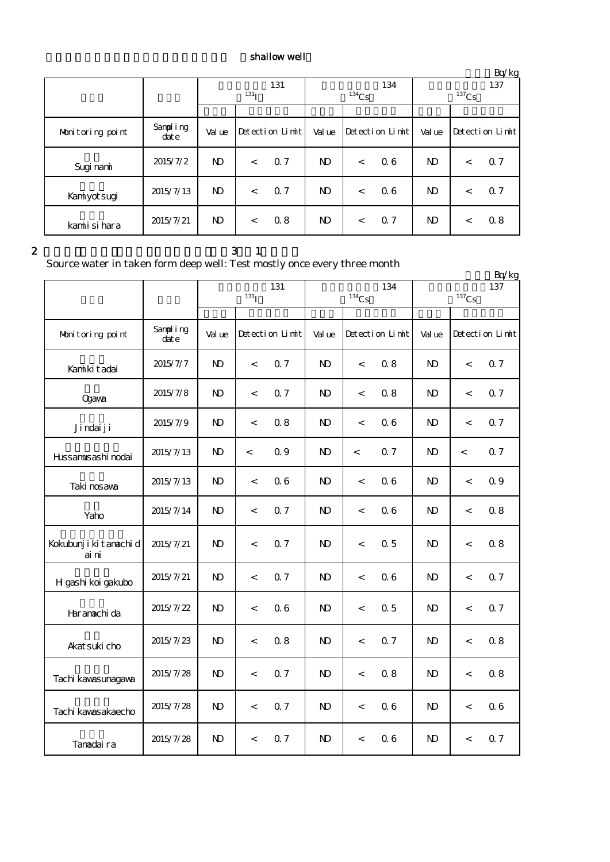# shallow well

|                  |                   |                         |         |                 |              |          |                 |          |         | $\frac{\mu}{\beta}$ |
|------------------|-------------------|-------------------------|---------|-----------------|--------------|----------|-----------------|----------|---------|---------------------|
|                  |                   | 131<br>131 <sub>T</sub> |         |                 |              |          | 134             | 137      |         |                     |
|                  |                   |                         |         |                 |              | $134$ Cs |                 | $137$ Cs |         |                     |
|                  |                   |                         |         |                 |              |          |                 |          |         |                     |
| Monitoring point | Sampling<br>dat e | Val ue                  |         | Detection Limit | Val ue       |          | Detection Limit | Val ue   |         | Detection Limit     |
| Sugi nami        | 2015/7/2          | N <sub>D</sub>          | $\,<\,$ | 0.7             | $\mathbf{D}$ | $\,<\,$  | 06              | ND.      | $\,<\,$ | 0.7                 |
| Kaniyot sugi     | 2015/7/13         | $\mathbf{D}$            | $\,<\,$ | 0.7             | $\mathbf{D}$ | $\,<\,$  | 06              | ND.      | $\,<\,$ | 0.7                 |
| kamiisi hara     | 2015/7/21         | $\mathbf{D}$            | $\,<\,$ | 0.8             | ND.          | $\,<\,$  | Q 7             | ND.      | $\,<\,$ | 0.8                 |

### $2 \t 3 \t 1$

Source water in taken form deep well: Test mostly once every three month

|                                 |                   |                           |                          |                 |              |                          |                 |                            |                          | Bq/kg           |
|---------------------------------|-------------------|---------------------------|--------------------------|-----------------|--------------|--------------------------|-----------------|----------------------------|--------------------------|-----------------|
|                                 |                   | 131<br>$131$ <sub>I</sub> |                          |                 |              | $^{134}\mathrm{Cs}$      | 134             | 137<br>$^{137}\mathrm{Cs}$ |                          |                 |
|                                 |                   |                           |                          |                 |              |                          |                 |                            |                          |                 |
| Monitoring point                | Sampling<br>dot e | Val ue                    |                          | Detection Limit | Val ue       |                          | Detection Limit | Value                      |                          | Detection Limit |
| Kanikit adai                    | 2015/7/7          | $\mathbf{D}$              | $\,<\,$                  | 0.7             | $\mathbf{N}$ | $\,<$                    | 0.8             | $\mathbf{D}$               | $\,<$                    | 0.7             |
| <b>Qgava</b>                    | 2015/7/8          | $\mathbf{D}$              | $\,<\,$                  | 0.7             | $\mathbf{N}$ | $\,<$                    | 0.8             | $\mathbf{D}$               | $\,<$                    | 0.7             |
| Ji ndai ji                      | 2015/7/9          | $\mathbf{D}$              | $\,<$                    | 0.8             | $\mathbf{N}$ | $\,<$                    | 0.6             | $\mathbf{N}$               | $\,<$                    | 0.7             |
| Hıssanusashi nodai              | 2015/7/13         | $\mathbf{N}$              | $\,<\,$                  | 0.9             | N)           | $\,<$                    | 0.7             | $\mathbf{N}$               | $\,<\,$                  | 0.7             |
| Taki nosava                     | 2015/7/13         | $\mathbf{D}$              | $\overline{\phantom{0}}$ | 06              | $\mathbf{N}$ | $\,<\,$                  | 0.6             | $\mathbf{D}$               | $\overline{\phantom{0}}$ | 0.9             |
| Yaho                            | 2015/7/14         | $\mathbf{N}$              | $\,<\,$                  | 0.7             | $\mathbf{N}$ | $\,<$                    | 0.6             | $\mathbf{D}$               | $\overline{\phantom{a}}$ | 0.8             |
| Kokubunji ki tanachi d<br>ai ni | 2015/7/21         | ND.                       | $\,<$                    | 0.7             | N)           | $\,<$                    | 0.5             | ND.                        | $\,<\,$                  | 0.8             |
| H gashi koi gakubo              | 2015/7/21         | $\mathbf{N}$              | $\,<\,$                  | 0.7             | $\mathbf{N}$ | $\,<$                    | 0.6             | $\mathbf{D}$               | $\,<$                    | 0.7             |
| Haranachi da                    | 2015/7/22         | $\mathbf{N}$              | $\,<$                    | 06              | $\mathbf{N}$ | $\,<$                    | 0.5             | $\mathbf{D}$               | $\,<$                    | 0.7             |
| Akat suki cho                   | 2015/7/23         | $\mathbf{N}$              | $\,<$                    | 0.8             | $\mathbf{N}$ | $\overline{\phantom{a}}$ | 0.7             | $\mathbf{D}$               | $\overline{\phantom{a}}$ | 0.8             |
| Tachi kawasunagawa              | 2015/7/28         | $\mathbf{N}$              | $\,<$                    | 0.7             | $\mathbf{N}$ | $\,<$                    | 0.8             | $\mathbf{D}$               | $\,<\,$                  | 0.8             |
| Tachi kawasakaecho              | 2015/7/28         | $\mathbf{D}$              | $\,<\,$                  | 0.7             | $\mathbf{N}$ | $\,<$                    | 0.6             | $\mathbf{N}$               | $\,<$                    | 06              |
| Tanadaira                       | 2015/7/28         | $\mathbf{N}$              | $\,<$                    | 0.7             | $\mathbf{N}$ | $\,<$                    | 06              | $\mathbf{D}$               | $\,<$                    | 0.7             |

 $Br/kg$